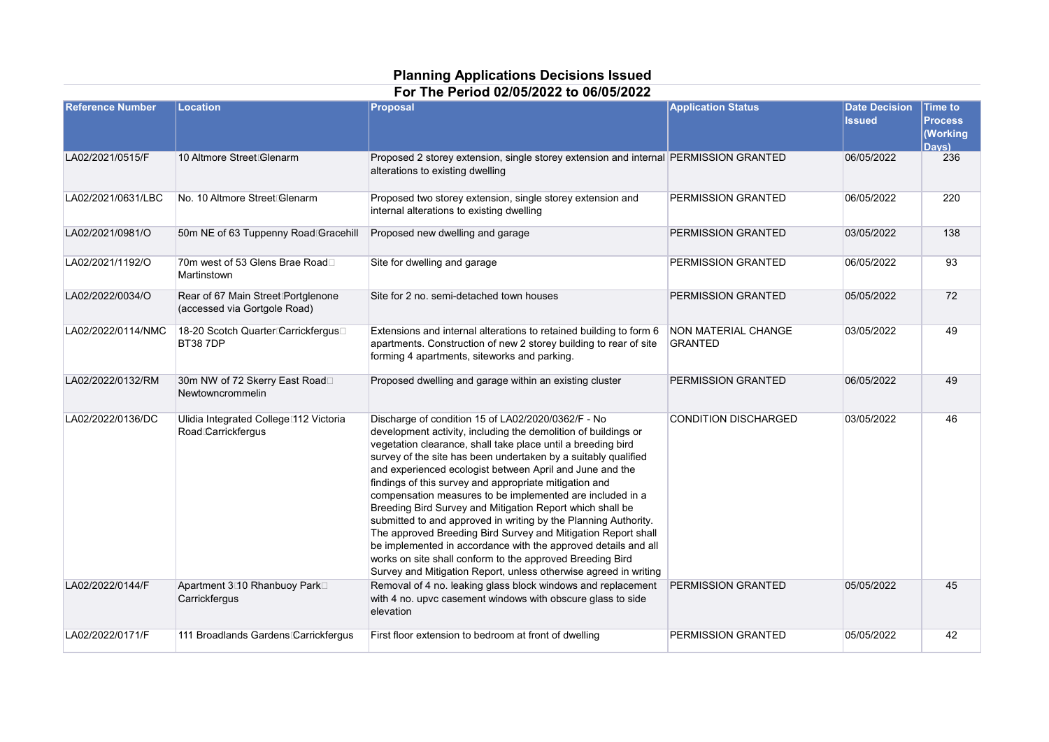## **Planning Applications Decisions Issued For The Period 02/05/2022 to 06/05/2022**

| <b>Reference Number</b> | Location                                                                | <b>Proposal</b>                                                                                                                                                                                                                                                                                                                                                                                                                                                                                                                                                                                                                                                                                                                                                                                                                               | <b>Application Status</b>             | <b>Date Decision</b><br><b>Issued</b> | <b>Time to</b><br><b>Process</b><br>(Working<br>Davs) |
|-------------------------|-------------------------------------------------------------------------|-----------------------------------------------------------------------------------------------------------------------------------------------------------------------------------------------------------------------------------------------------------------------------------------------------------------------------------------------------------------------------------------------------------------------------------------------------------------------------------------------------------------------------------------------------------------------------------------------------------------------------------------------------------------------------------------------------------------------------------------------------------------------------------------------------------------------------------------------|---------------------------------------|---------------------------------------|-------------------------------------------------------|
| LA02/2021/0515/F        | 10 Altmore Street Glenarm                                               | Proposed 2 storey extension, single storey extension and internal PERMISSION GRANTED<br>alterations to existing dwelling                                                                                                                                                                                                                                                                                                                                                                                                                                                                                                                                                                                                                                                                                                                      |                                       | 06/05/2022                            | 236                                                   |
| LA02/2021/0631/LBC      | No. 10 Altmore Street Glenarm                                           | Proposed two storey extension, single storey extension and<br>internal alterations to existing dwelling                                                                                                                                                                                                                                                                                                                                                                                                                                                                                                                                                                                                                                                                                                                                       | PERMISSION GRANTED                    | 06/05/2022                            | 220                                                   |
| LA02/2021/0981/O        | 50m NE of 63 Tuppenny Road Gracehill                                    | Proposed new dwelling and garage                                                                                                                                                                                                                                                                                                                                                                                                                                                                                                                                                                                                                                                                                                                                                                                                              | PERMISSION GRANTED                    | 03/05/2022                            | 138                                                   |
| LA02/2021/1192/O        | 70m west of 53 Glens Brae Road□<br>Martinstown                          | Site for dwelling and garage                                                                                                                                                                                                                                                                                                                                                                                                                                                                                                                                                                                                                                                                                                                                                                                                                  | PERMISSION GRANTED                    | 06/05/2022                            | 93                                                    |
| LA02/2022/0034/O        | Rear of 67 Main Street Portglenone<br>(accessed via Gortgole Road)      | Site for 2 no. semi-detached town houses                                                                                                                                                                                                                                                                                                                                                                                                                                                                                                                                                                                                                                                                                                                                                                                                      | PERMISSION GRANTED                    | 05/05/2022                            | 72                                                    |
| LA02/2022/0114/NMC      | 18-20 Scotch Quarter Carrickfergus<br><b>BT387DP</b>                    | Extensions and internal alterations to retained building to form 6<br>apartments. Construction of new 2 storey building to rear of site<br>forming 4 apartments, siteworks and parking.                                                                                                                                                                                                                                                                                                                                                                                                                                                                                                                                                                                                                                                       | NON MATERIAL CHANGE<br><b>GRANTED</b> | 03/05/2022                            | 49                                                    |
| LA02/2022/0132/RM       | 30m NW of 72 Skerry East Road□<br>Newtowncrommelin                      | Proposed dwelling and garage within an existing cluster                                                                                                                                                                                                                                                                                                                                                                                                                                                                                                                                                                                                                                                                                                                                                                                       | PERMISSION GRANTED                    | 06/05/2022                            | 49                                                    |
| LA02/2022/0136/DC       | Ulidia Integrated College <sup>112</sup> Victoria<br>Road Carrickfergus | Discharge of condition 15 of LA02/2020/0362/F - No<br>development activity, including the demolition of buildings or<br>vegetation clearance, shall take place until a breeding bird<br>survey of the site has been undertaken by a suitably qualified<br>and experienced ecologist between April and June and the<br>findings of this survey and appropriate mitigation and<br>compensation measures to be implemented are included in a<br>Breeding Bird Survey and Mitigation Report which shall be<br>submitted to and approved in writing by the Planning Authority.<br>The approved Breeding Bird Survey and Mitigation Report shall<br>be implemented in accordance with the approved details and all<br>works on site shall conform to the approved Breeding Bird<br>Survey and Mitigation Report, unless otherwise agreed in writing | <b>CONDITION DISCHARGED</b>           | 03/05/2022                            | 46                                                    |
| LA02/2022/0144/F        | Apartment 3 <sup>1</sup> 0 Rhanbuoy Park□<br>Carrickfergus              | Removal of 4 no. leaking glass block windows and replacement<br>with 4 no. upvc casement windows with obscure glass to side<br>elevation                                                                                                                                                                                                                                                                                                                                                                                                                                                                                                                                                                                                                                                                                                      | PERMISSION GRANTED                    | 05/05/2022                            | 45                                                    |
| LA02/2022/0171/F        | 111 Broadlands Gardens Carrickfergus                                    | First floor extension to bedroom at front of dwelling                                                                                                                                                                                                                                                                                                                                                                                                                                                                                                                                                                                                                                                                                                                                                                                         | PERMISSION GRANTED                    | 05/05/2022                            | 42                                                    |